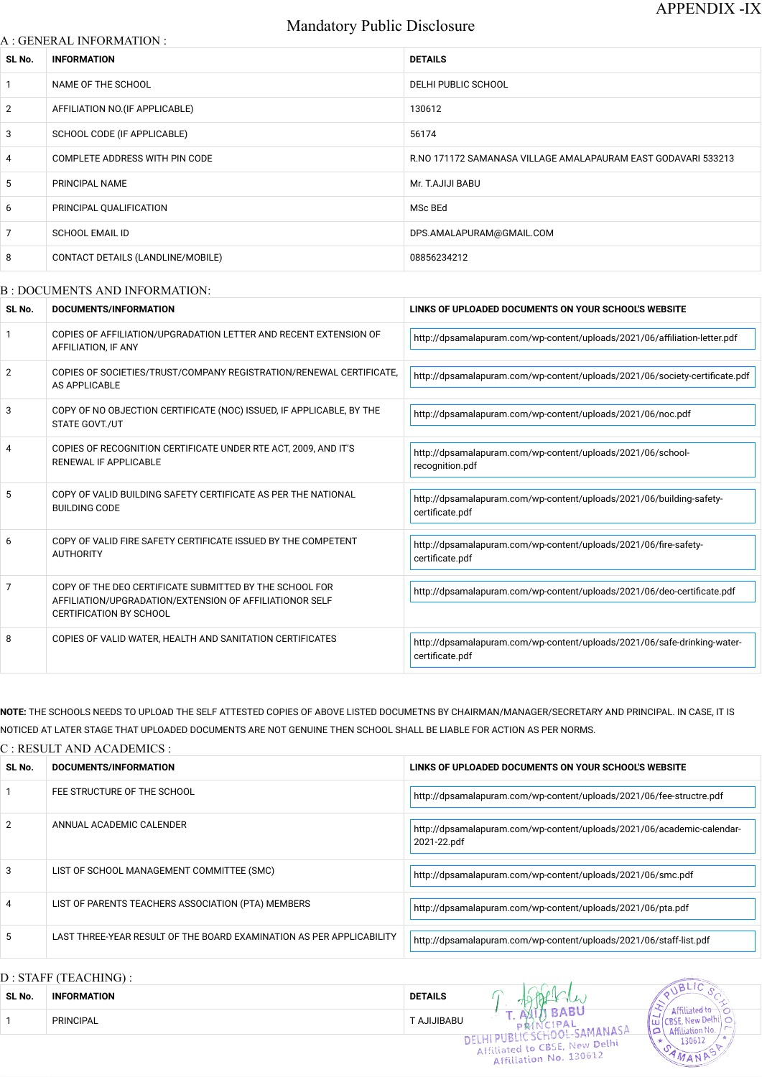# Mandatory Public Disclosure

#### A : GENERAL INFORMATION :

| SL No.          | <b>INFORMATION</b>                | <b>DETAILS</b>                                                |
|-----------------|-----------------------------------|---------------------------------------------------------------|
| $\mathbf{1}$    | NAME OF THE SCHOOL                | DELHI PUBLIC SCHOOL                                           |
| $\overline{2}$  | AFFILIATION NO. (IF APPLICABLE)   | 130612                                                        |
| 3               | SCHOOL CODE (IF APPLICABLE)       | 56174                                                         |
| $\overline{4}$  | COMPLETE ADDRESS WITH PIN CODE    | R.NO 171172 SAMANASA VILLAGE AMALAPAURAM EAST GODAVARI 533213 |
| $5\overline{)}$ | PRINCIPAL NAME                    | Mr. T.AJIJI BABU                                              |
| 6               | PRINCIPAL QUALIFICATION           | MSc BEd                                                       |
| $\overline{7}$  | <b>SCHOOL EMAIL ID</b>            | DPS.AMALAPURAM@GMAIL.COM                                      |
| 8               | CONTACT DETAILS (LANDLINE/MOBILE) | 08856234212                                                   |
|                 |                                   |                                                               |

#### B : DOCUMENTS AND INFORMATION:

NOTE: THE SCHOOLS NEEDS TO UPLOAD THE SELF ATTESTED COPIES OF ABOVE LISTED DOCUMETNS BY CHAIRMAN/MANAGER/SECRETARY AND PRINCIPAL. IN CASE, IT IS NOTICED AT LATER STAGE THAT UPLOADED DOCUMENTS ARE NOT GENUINE THEN SCHOOL SHALL BE LIABLE FOR ACTION AS PER NORMS.

| SL No.         | <b>DOCUMENTS/INFORMATION</b>                                                                                                                         | LINKS OF UPLOADED DOCUMENTS ON YOUR SCHOOL'S WEBSITE                                        |
|----------------|------------------------------------------------------------------------------------------------------------------------------------------------------|---------------------------------------------------------------------------------------------|
|                | COPIES OF AFFILIATION/UPGRADATION LETTER AND RECENT EXTENSION OF<br>AFFILIATION, IF ANY                                                              | http://dpsamalapuram.com/wp-content/uploads/2021/06/affiliation-letter.pdf                  |
| $\overline{2}$ | COPIES OF SOCIETIES/TRUST/COMPANY REGISTRATION/RENEWAL CERTIFICATE,<br>AS APPLICABLE                                                                 | http://dpsamalapuram.com/wp-content/uploads/2021/06/society-certificate.pdf                 |
| 3              | COPY OF NO OBJECTION CERTIFICATE (NOC) ISSUED, IF APPLICABLE, BY THE<br>STATE GOVT./UT                                                               | http://dpsamalapuram.com/wp-content/uploads/2021/06/noc.pdf                                 |
| 4              | COPIES OF RECOGNITION CERTIFICATE UNDER RTE ACT, 2009, AND IT'S<br>RENEWAL IF APPLICABLE                                                             | http://dpsamalapuram.com/wp-content/uploads/2021/06/school-<br>recognition.pdf              |
| 5              | COPY OF VALID BUILDING SAFETY CERTIFICATE AS PER THE NATIONAL<br><b>BUILDING CODE</b>                                                                | http://dpsamalapuram.com/wp-content/uploads/2021/06/building-safety-<br>certificate.pdf     |
| 6              | COPY OF VALID FIRE SAFETY CERTIFICATE ISSUED BY THE COMPETENT<br><b>AUTHORITY</b>                                                                    | http://dpsamalapuram.com/wp-content/uploads/2021/06/fire-safety-<br>certificate.pdf         |
| 7              | COPY OF THE DEO CERTIFICATE SUBMITTED BY THE SCHOOL FOR<br>AFFILIATION/UPGRADATION/EXTENSION OF AFFILIATIONOR SELF<br><b>CERTIFICATION BY SCHOOL</b> | http://dpsamalapuram.com/wp-content/uploads/2021/06/deo-certificate.pdf                     |
| 8              | COPIES OF VALID WATER, HEALTH AND SANITATION CERTIFICATES                                                                                            | http://dpsamalapuram.com/wp-content/uploads/2021/06/safe-drinking-water-<br>certificate.pdf |

### C : RESULT AND ACADEMICS :

| SL No. | DOCUMENTS/INFORMATION       | LINKS OF UPLOADED DOCUMENTS ON YOUR SCHOOL'S WEBSITE                 |
|--------|-----------------------------|----------------------------------------------------------------------|
|        | FEE STRUCTURE OF THE SCHOOL | http://dpsamalapuram.com/wp-content/uploads/2021/06/fee-structre.pdf |

<u> 1999 - Johann Stoff, deutscher Stoffen und der Stoffen und der Stoffen und der Stoffen und der Stoffen und der Stoffen und der Stoffen und der Stoffen und der Stoffen und der Stoffen und der Stoffen und der Stoffen und d</u>

| $\mathcal{P}$ | ANNUAL ACADEMIC CALENDER                                             | http://dpsamalapuram.com/wp-content/uploads/2021/06/academic-calendar-<br>2021-22.pdf |  |
|---------------|----------------------------------------------------------------------|---------------------------------------------------------------------------------------|--|
| 3             | LIST OF SCHOOL MANAGEMENT COMMITTEE (SMC)                            | http://dpsamalapuram.com/wp-content/uploads/2021/06/smc.pdf                           |  |
| 4             | LIST OF PARENTS TEACHERS ASSOCIATION (PTA) MEMBERS                   | http://dpsamalapuram.com/wp-content/uploads/2021/06/pta.pdf                           |  |
| 5             | LAST THREE-YEAR RESULT OF THE BOARD EXAMINATION AS PER APPLICABILITY | http://dpsamalapuram.com/wp-content/uploads/2021/06/staff-list.pdf                    |  |
|               | D : STAFF (TEACHING) :                                               | 20110<br>$\sim \triangle$ 4                                                           |  |

| SL No. | <b>INFORMATION</b> | <b>DETAILS</b>    |                                                           |                                                       |
|--------|--------------------|-------------------|-----------------------------------------------------------|-------------------------------------------------------|
|        | <b>PRINCIPAL</b>   | <b>LAJIJIBABU</b> |                                                           | <b>Blam</b><br>لمالكة<br>$\cdots$ ) Attiliation No. . |
|        |                    |                   | Affiliated to CBSE, New Delhi W<br>Affiliation No. 130612 | 130612                                                |